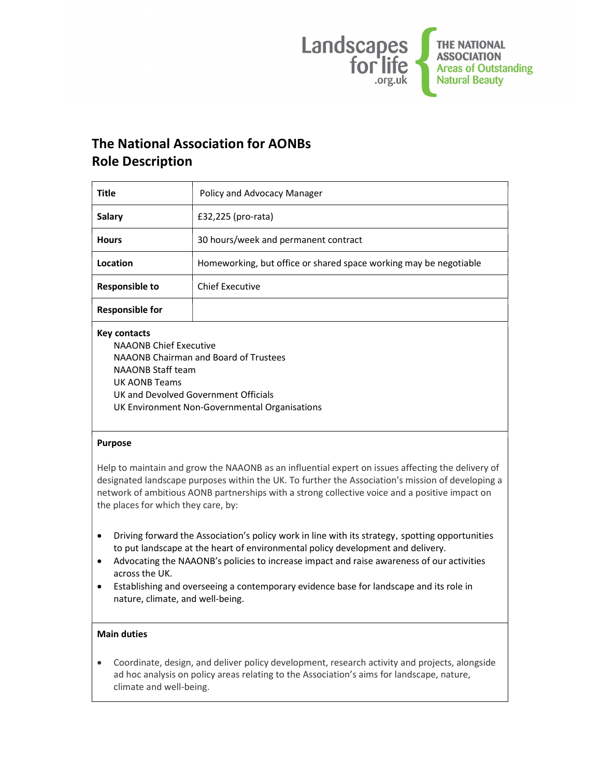

# The National Association for AONBs Role Description

| <b>Title</b>           | Policy and Advocacy Manager                                       |
|------------------------|-------------------------------------------------------------------|
| <b>Salary</b>          | £32,225 (pro-rata)                                                |
| <b>Hours</b>           | 30 hours/week and permanent contract                              |
| Location               | Homeworking, but office or shared space working may be negotiable |
| <b>Responsible to</b>  | <b>Chief Executive</b>                                            |
| <b>Responsible for</b> |                                                                   |
| Key contacts           |                                                                   |

NAAONB Chief Executive NAAONB Chairman and Board of Trustees NAAONB Staff team UK AONB Teams UK and Devolved Government Officials UK Environment Non-Governmental Organisations

### Purpose

Help to maintain and grow the NAAONB as an influential expert on issues affecting the delivery of designated landscape purposes within the UK. To further the Association's mission of developing a network of ambitious AONB partnerships with a strong collective voice and a positive impact on the places for which they care, by:

- Driving forward the Association's policy work in line with its strategy, spotting opportunities to put landscape at the heart of environmental policy development and delivery.
- Advocating the NAAONB's policies to increase impact and raise awareness of our activities across the UK.
- Establishing and overseeing a contemporary evidence base for landscape and its role in nature, climate, and well-being.

## Main duties

 Coordinate, design, and deliver policy development, research activity and projects, alongside ad hoc analysis on policy areas relating to the Association's aims for landscape, nature, climate and well-being.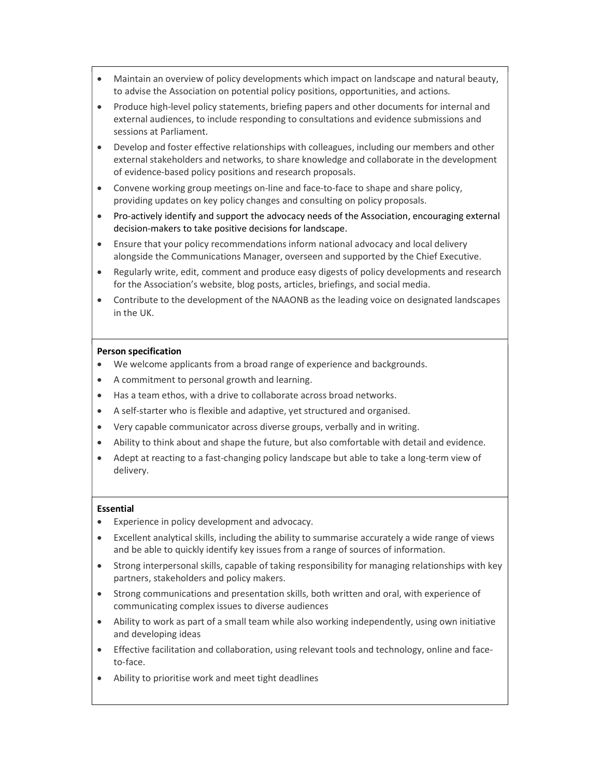- Maintain an overview of policy developments which impact on landscape and natural beauty, to advise the Association on potential policy positions, opportunities, and actions.
- Produce high-level policy statements, briefing papers and other documents for internal and external audiences, to include responding to consultations and evidence submissions and sessions at Parliament.
- Develop and foster effective relationships with colleagues, including our members and other external stakeholders and networks, to share knowledge and collaborate in the development of evidence-based policy positions and research proposals.
- Convene working group meetings on-line and face-to-face to shape and share policy, providing updates on key policy changes and consulting on policy proposals.
- Pro-actively identify and support the advocacy needs of the Association, encouraging external decision-makers to take positive decisions for landscape.
- Ensure that your policy recommendations inform national advocacy and local delivery alongside the Communications Manager, overseen and supported by the Chief Executive.
- Regularly write, edit, comment and produce easy digests of policy developments and research for the Association's website, blog posts, articles, briefings, and social media.
- Contribute to the development of the NAAONB as the leading voice on designated landscapes in the UK.

#### Person specification

- We welcome applicants from a broad range of experience and backgrounds.
- A commitment to personal growth and learning.
- Has a team ethos, with a drive to collaborate across broad networks.
- A self-starter who is flexible and adaptive, yet structured and organised.
- Very capable communicator across diverse groups, verbally and in writing.
- Ability to think about and shape the future, but also comfortable with detail and evidence.
- Adept at reacting to a fast-changing policy landscape but able to take a long-term view of delivery.

#### Essential

- Experience in policy development and advocacy.
- Excellent analytical skills, including the ability to summarise accurately a wide range of views and be able to quickly identify key issues from a range of sources of information.
- Strong interpersonal skills, capable of taking responsibility for managing relationships with key partners, stakeholders and policy makers.
- Strong communications and presentation skills, both written and oral, with experience of communicating complex issues to diverse audiences
- Ability to work as part of a small team while also working independently, using own initiative and developing ideas
- Effective facilitation and collaboration, using relevant tools and technology, online and faceto-face.
- Ability to prioritise work and meet tight deadlines